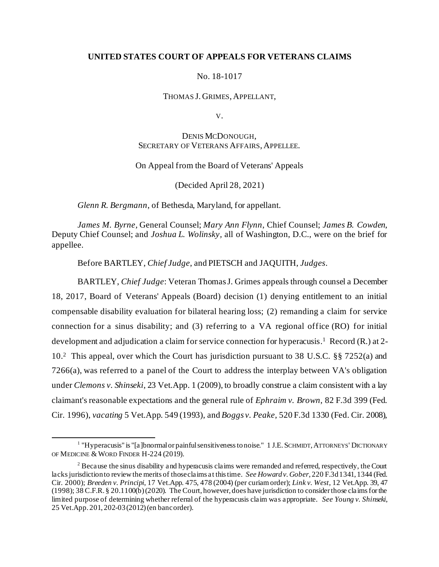# **UNITED STATES COURT OF APPEALS FOR VETERANS CLAIMS**

# No. 18-1017

THOMAS J. GRIMES, APPELLANT,

V.

DENIS MCDONOUGH, SECRETARY OF VETERANS AFFAIRS, APPELLEE.

On Appeal from the Board of Veterans' Appeals

(Decided April 28, 2021)

*Glenn R. Bergmann*, of Bethesda, Maryland, for appellant.

*James M. Byrne,* General Counsel; *Mary Ann Flynn*, Chief Counsel; *James B. Cowden*, Deputy Chief Counsel; and *Joshua L. Wolinsky,* all of Washington, D.C., were on the brief for appellee.

Before BARTLEY, *Chief Judge*, and PIETSCH and JAQUITH, *Judges*.

BARTLEY, *Chief Judge*: Veteran Thomas J. Grimes appeals through counsel a December 18, 2017, Board of Veterans' Appeals (Board) decision (1) denying entitlement to an initial compensable disability evaluation for bilateral hearing loss; (2) remanding a claim for service connection for a sinus disability; and (3) referring to a VA regional office (RO) for initial development and adjudication a claim for service connection for hyperacusis. 1 Record (R.) at 2- 10. 2 This appeal, over which the Court has jurisdiction pursuant to 38 U.S.C. §§ 7252(a) and 7266(a), was referred to a panel of the Court to address the interplay between VA's obligation under *Clemons v. Shinseki*, 23 Vet.App. 1 (2009), to broadly construe a claim consistent with a lay claimant's reasonable expectations and the general rule of *Ephraim v. Brown*, 82 F.3d 399 (Fed. Cir. 1996), *vacating* 5 Vet.App. 549 (1993), and *Boggs v. Peake*, 520 F.3d 1330 (Fed. Cir. 2008),

<sup>&</sup>lt;sup>1</sup> "Hyperacusis" is "[a]bnormal or painful sensitiveness to noise." 1 J.E. SCHMIDT, ATTORNEYS' DICTIONARY OF MEDICINE & WORD FINDER H-224 (2019).

 $2$  Because the sinus disability and hyperacusis claims were remanded and referred, respectively, the Court lacks jurisdiction to review the merits of those claims at this time. *See Howard v. Gober*, 220 F.3d 1341, 1344 (Fed. Cir. 2000); *Breeden v. Principi*, 17 Vet.App. 475, 478 (2004) (per curiam order); *Link v. West*, 12 Vet.App. 39, 47 (1998); 38 C.F.R. § 20.1100(b) (2020)*.* The Court, however, does have jurisdiction to consider those claims for the limited purpose of determining whether referral of the hyperacusis claim was appropriate. *See Young v. Shinseki*, 25 Vet.App. 201, 202-03 (2012) (en banc order).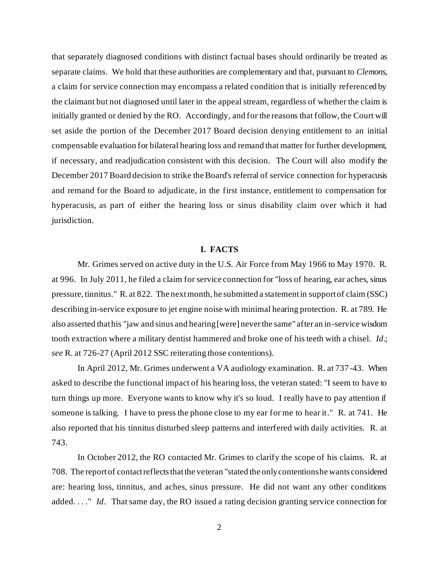that separately diagnosed conditions with distinct factual bases should ordinarily be treated as separate claims. We hold that these authorities are complementary and that, pursuant to *Clemons*, a claim for service connection may encompass a related condition that is initially referenced by the claimant but not diagnosed until later in the appeal stream, regardless of whether the claim is initially granted or denied by the RO. Accordingly, and for the reasons that follow, the Court will set aside the portion of the December 2017 Board decision denying entitlement to an initial compensable evaluation for bilateral hearing loss and remand that matter for further development, if necessary, and readjudication consistent with this decision. The Court will also modify the December 2017 Board decision to strike the Board's referral of service connection for hyperacusis and remand for the Board to adjudicate, in the first instance, entitlement to compensation for hyperacusis, as part of either the hearing loss or sinus disability claim over which it had jurisdiction.

### **I. FACTS**

Mr. Grimes served on active duty in the U.S. Air Force from May 1966 to May 1970. R. at 996. In July 2011, he filed a claim for service connection for "loss of hearing, ear aches, sinus pressure, tinnitus." R. at 822. The next month, he submitted a statement in support of claim (SSC) describing in-service exposure to jet engine noise with minimal hearing protection. R. at 789. He also asserted that his "jaw and sinus and hearing [were] never the same" after an in-service wisdom tooth extraction where a military dentist hammered and broke one of his teeth with a chisel. *Id*.; *see* R. at 726-27 (April 2012 SSC reiterating those contentions).

In April 2012, Mr. Grimes underwent a VA audiology examination. R. at 737-43. When asked to describe the functional impact of his hearing loss, the veteran stated: "I seem to have to turn things up more. Everyone wants to know why it's so loud. I really have to pay attention if someone is talking. I have to press the phone close to my ear for me to hear it." R. at 741. He also reported that his tinnitus disturbed sleep patterns and interfered with daily activities. R. at 743.

In October 2012, the RO contacted Mr. Grimes to clarify the scope of his claims. R. at 708. The report of contact reflects that the veteran "stated the only contentions he wants considered are: hearing loss, tinnitus, and aches, sinus pressure. He did not want any other conditions added. . . ." *Id*. That same day, the RO issued a rating decision granting service connection for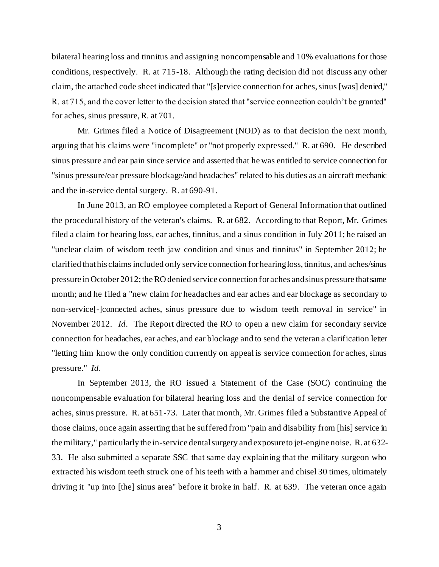bilateral hearing loss and tinnitus and assigning noncompensable and 10% evaluations for those conditions, respectively. R. at 715-18. Although the rating decision did not discuss any other claim, the attached code sheet indicated that "[s]ervice connection for aches, sinus [was] denied," R. at 715, and the cover letter to the decision stated that "service connection couldn't be granted" for aches, sinus pressure, R. at 701.

Mr. Grimes filed a Notice of Disagreement (NOD) as to that decision the next month, arguing that his claims were "incomplete" or "not properly expressed." R. at 690. He described sinus pressure and ear pain since service and asserted that he was entitled to service connection for "sinus pressure/ear pressure blockage/and headaches" related to his duties as an aircraft mechanic and the in-service dental surgery. R. at 690-91.

In June 2013, an RO employee completed a Report of General Information that outlined the procedural history of the veteran's claims. R. at 682. According to that Report, Mr. Grimes filed a claim for hearing loss, ear aches, tinnitus, and a sinus condition in July 2011; he raised an "unclear claim of wisdom teeth jaw condition and sinus and tinnitus" in September 2012; he clarified that his claims included only service connection for hearing loss, tinnitus, and aches/sinus pressure in October 2012; the RO denied service connection for aches and sinus pressure that same month; and he filed a "new claim for headaches and ear aches and ear blockage as secondary to non-service[-]connected aches, sinus pressure due to wisdom teeth removal in service" in November 2012. *Id*. The Report directed the RO to open a new claim for secondary service connection for headaches, ear aches, and ear blockage and to send the veteran a clarification letter "letting him know the only condition currently on appeal is service connection for aches, sinus pressure." *Id*.

In September 2013, the RO issued a Statement of the Case (SOC) continuing the noncompensable evaluation for bilateral hearing loss and the denial of service connection for aches, sinus pressure. R. at 651-73. Later that month, Mr. Grimes filed a Substantive Appeal of those claims, once again asserting that he suffered from "pain and disability from [his] service in the military," particularly the in-service dental surgery and exposure to jet-engine noise. R. at 632- 33. He also submitted a separate SSC that same day explaining that the military surgeon who extracted his wisdom teeth struck one of his teeth with a hammer and chisel 30 times, ultimately driving it "up into [the] sinus area" before it broke in half. R. at 639. The veteran once again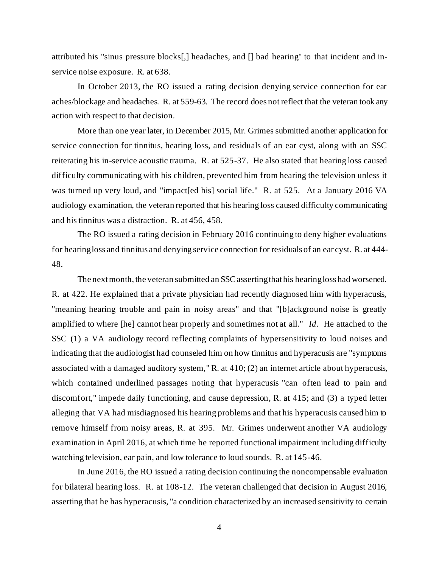attributed his "sinus pressure blocks[,] headaches, and [] bad hearing" to that incident and inservice noise exposure. R. at 638.

In October 2013, the RO issued a rating decision denying service connection for ear aches/blockage and headaches. R. at 559-63. The record does not reflect that the veteran took any action with respect to that decision.

More than one year later, in December 2015, Mr. Grimes submitted another application for service connection for tinnitus, hearing loss, and residuals of an ear cyst, along with an SSC reiterating his in-service acoustic trauma. R. at 525-37. He also stated that hearing loss caused difficulty communicating with his children, prevented him from hearing the television unless it was turned up very loud, and "impact[ed his] social life." R. at 525. At a January 2016 VA audiology examination, the veteran reported that his hearing loss caused difficulty communicating and his tinnitus was a distraction. R. at 456, 458.

The RO issued a rating decision in February 2016 continuing to deny higher evaluations for hearing loss and tinnitus and denying service connection for residuals of an ear cyst. R. at 444- 48.

The next month, the veteran submitted an SSC asserting that his hearing loss had worsened. R. at 422. He explained that a private physician had recently diagnosed him with hyperacusis, "meaning hearing trouble and pain in noisy areas" and that "[b]ackground noise is greatly amplified to where [he] cannot hear properly and sometimes not at all." *Id*. He attached to the SSC (1) a VA audiology record reflecting complaints of hypersensitivity to loud noises and indicating that the audiologist had counseled him on how tinnitus and hyperacusis are "symptoms associated with a damaged auditory system," R. at 410; (2) an internet article about hyperacusis, which contained underlined passages noting that hyperacusis "can often lead to pain and discomfort," impede daily functioning, and cause depression, R. at 415; and (3) a typed letter alleging that VA had misdiagnosed his hearing problems and that his hyperacusis caused him to remove himself from noisy areas, R. at 395. Mr. Grimes underwent another VA audiology examination in April 2016, at which time he reported functional impairment including difficulty watching television, ear pain, and low tolerance to loud sounds. R. at 145-46.

In June 2016, the RO issued a rating decision continuing the noncompensable evaluation for bilateral hearing loss. R. at 108-12. The veteran challenged that decision in August 2016, asserting that he has hyperacusis, "a condition characterized by an increased sensitivity to certain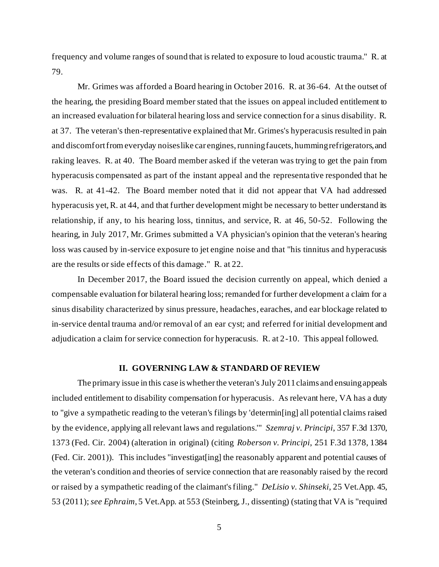frequency and volume ranges of sound that is related to exposure to loud acoustic trauma." R. at 79.

Mr. Grimes was afforded a Board hearing in October 2016. R. at 36-64. At the outset of the hearing, the presiding Board member stated that the issues on appeal included entitlement to an increased evaluation for bilateral hearing loss and service connection for a sinus disability. R. at 37. The veteran's then-representative explained that Mr. Grimes's hyperacusis resulted in pain and discomfort from everyday noises like car engines, running faucets, humming refrigerators, and raking leaves. R. at 40. The Board member asked if the veteran was trying to get the pain from hyperacusis compensated as part of the instant appeal and the representative responded that he was. R. at 41-42. The Board member noted that it did not appear that VA had addressed hyperacusis yet, R. at 44, and that further development might be necessary to better understand its relationship, if any, to his hearing loss, tinnitus, and service, R. at 46, 50-52. Following the hearing, in July 2017, Mr. Grimes submitted a VA physician's opinion that the veteran's hearing loss was caused by in-service exposure to jet engine noise and that "his tinnitus and hyperacusis are the results or side effects of this damage." R. at 22.

In December 2017, the Board issued the decision currently on appeal, which denied a compensable evaluation for bilateral hearing loss; remanded for further development a claim for a sinus disability characterized by sinus pressure, headaches, earaches, and ear blockage related to in-service dental trauma and/or removal of an ear cyst; and referred for initial development and adjudication a claim for service connection for hyperacusis. R. at 2-10. This appeal followed.

## **II. GOVERNING LAW & STANDARD OF REVIEW**

The primary issue in this case is whether the veteran's July 2011 claims and ensuing appeals included entitlement to disability compensation for hyperacusis. As relevant here, VA has a duty to "give a sympathetic reading to the veteran's filings by 'determin[ing] all potential claims raised by the evidence, applying all relevant laws and regulations.'" *Szemraj v. Principi*, 357 F.3d 1370, 1373 (Fed. Cir. 2004) (alteration in original) (citing *Roberson v. Principi*, 251 F.3d 1378, 1384 (Fed. Cir. 2001)). This includes "investigat[ing] the reasonably apparent and potential causes of the veteran's condition and theories of service connection that are reasonably raised by the record or raised by a sympathetic reading of the claimant's filing." *DeLisio v. Shinseki*, 25 Vet.App. 45, 53 (2011); *see Ephraim*, 5 Vet.App. at 553 (Steinberg, J., dissenting) (stating that VA is "required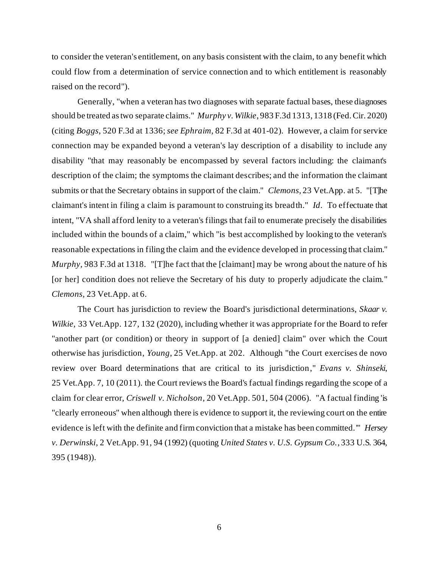to consider the veteran's entitlement, on any basis consistent with the claim, to any benefit which could flow from a determination of service connection and to which entitlement is reasonably raised on the record").

Generally, "when a veteran has two diagnoses with separate factual bases, these diagnoses should be treated as two separate claims." *Murphy v. Wilkie*, 983 F.3d 1313, 1318 (Fed. Cir. 2020) (citing *Boggs*, 520 F.3d at 1336; *see Ephraim*, 82 F.3d at 401-02). However, a claim for service connection may be expanded beyond a veteran's lay description of a disability to include any disability "that may reasonably be encompassed by several factors including: the claimant's description of the claim; the symptoms the claimant describes; and the information the claimant submits or that the Secretary obtains in support of the claim." *Clemons*, 23 Vet.App. at 5. "[T]he claimant's intent in filing a claim is paramount to construing its breadth." *Id*. To effectuate that intent, "VA shall afford lenity to a veteran's filings that fail to enumerate precisely the disabilities included within the bounds of a claim," which "is best accomplished by looking to the veteran's reasonable expectations in filing the claim and the evidence developed in processing that claim." *Murphy*, 983 F.3d at 1318. "[T]he fact that the [claimant] may be wrong about the nature of his [or her] condition does not relieve the Secretary of his duty to properly adjudicate the claim." *Clemons*, 23 Vet.App. at 6.

The Court has jurisdiction to review the Board's jurisdictional determinations, *Skaar v. Wilkie*, 33 Vet.App. 127, 132 (2020), including whether it was appropriate for the Board to refer "another part (or condition) or theory in support of [a denied] claim" over which the Court otherwise has jurisdiction, *Young*, 25 Vet.App. at 202. Although "the Court exercises de novo review over Board determinations that are critical to its jurisdiction," *Evans v. Shinseki*, 25 Vet.App. 7, 10 (2011). the Court reviews the Board's factual findings regarding the scope of a claim for clear error, *Criswell v. Nicholson*, 20 Vet.App. 501, 504 (2006). "A factual finding 'is "clearly erroneous" when although there is evidence to support it, the reviewing court on the entire evidence is left with the definite and firm conviction that a mistake has been committed.'" *Hersey v. Derwinski*, 2 Vet.App. 91, 94 (1992) (quoting *United States v. U.S. Gypsum Co.*, 333 U.S. 364, 395 (1948)).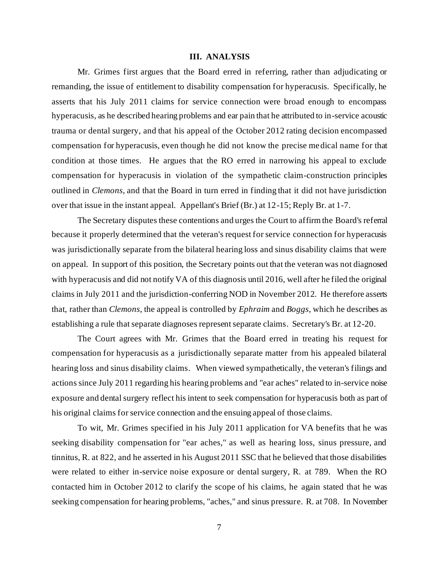### **III. ANALYSIS**

Mr. Grimes first argues that the Board erred in referring, rather than adjudicating or remanding, the issue of entitlement to disability compensation for hyperacusis. Specifically, he asserts that his July 2011 claims for service connection were broad enough to encompass hyperacusis, as he described hearing problems and ear pain that he attributed to in-service acoustic trauma or dental surgery, and that his appeal of the October 2012 rating decision encompassed compensation for hyperacusis, even though he did not know the precise medical name for that condition at those times. He argues that the RO erred in narrowing his appeal to exclude compensation for hyperacusis in violation of the sympathetic claim-construction principles outlined in *Clemons*, and that the Board in turn erred in finding that it did not have jurisdiction over that issue in the instant appeal. Appellant's Brief (Br.) at 12-15; Reply Br. at 1-7.

The Secretary disputes these contentions and urges the Court to affirm the Board's referral because it properly determined that the veteran's request for service connection for hyperacusis was jurisdictionally separate from the bilateral hearing loss and sinus disability claims that were on appeal. In support of this position, the Secretary points out that the veteran was not diagnosed with hyperacusis and did not notify VA of this diagnosis until 2016, well after he filed the original claims in July 2011 and the jurisdiction-conferring NOD in November 2012. He therefore asserts that, rather than *Clemons*, the appeal is controlled by *Ephraim* and *Boggs*, which he describes as establishing a rule that separate diagnoses represent separate claims. Secretary's Br. at 12-20.

The Court agrees with Mr. Grimes that the Board erred in treating his request for compensation for hyperacusis as a jurisdictionally separate matter from his appealed bilateral hearing loss and sinus disability claims. When viewed sympathetically, the veteran's filings and actions since July 2011 regarding his hearing problems and "ear aches" related to in-service noise exposure and dental surgery reflect his intent to seek compensation for hyperacusis both as part of his original claims for service connection and the ensuing appeal of those claims.

To wit, Mr. Grimes specified in his July 2011 application for VA benefits that he was seeking disability compensation for "ear aches," as well as hearing loss, sinus pressure, and tinnitus, R. at 822, and he asserted in his August 2011 SSC that he believed that those disabilities were related to either in-service noise exposure or dental surgery, R. at 789. When the RO contacted him in October 2012 to clarify the scope of his claims, he again stated that he was seeking compensation for hearing problems, "aches," and sinus pressure. R. at 708. In November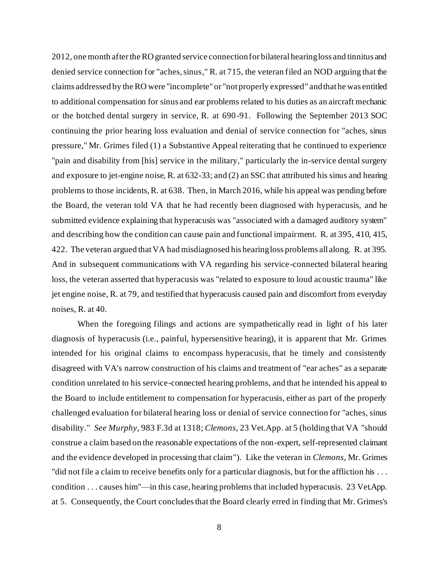2012, one month after the RO granted service connection for bilateral hearing loss and tinnitus and denied service connection for "aches, sinus," R. at 715, the veteran filed an NOD arguing that the claims addressed by the RO were "incomplete" or "not properly expressed" and that he was entitled to additional compensation for sinus and ear problems related to his duties as an aircraft mechanic or the botched dental surgery in service, R. at 690-91. Following the September 2013 SOC continuing the prior hearing loss evaluation and denial of service connection for "aches, sinus pressure," Mr. Grimes filed (1) a Substantive Appeal reiterating that he continued to experience "pain and disability from [his] service in the military," particularly the in-service dental surgery and exposure to jet-engine noise, R. at 632-33; and (2) an SSC that attributed his sinus and hearing problems to those incidents, R. at 638. Then, in March 2016, while his appeal was pending before the Board, the veteran told VA that he had recently been diagnosed with hyperacusis, and he submitted evidence explaining that hyperacusis was "associated with a damaged auditory system" and describing how the condition can cause pain and functional impairment. R. at 395, 410, 415, 422. The veteran argued that VA had misdiagnosed his hearing loss problems all along. R. at 395. And in subsequent communications with VA regarding his service-connected bilateral hearing loss, the veteran asserted that hyperacusis was "related to exposure to loud acoustic trauma" like jet engine noise, R. at 79, and testified that hyperacusis caused pain and discomfort from everyday noises, R. at 40.

When the foregoing filings and actions are sympathetically read in light of his later diagnosis of hyperacusis (i.e., painful, hypersensitive hearing), it is apparent that Mr. Grimes intended for his original claims to encompass hyperacusis, that he timely and consistently disagreed with VA's narrow construction of his claims and treatment of "ear aches" as a separate condition unrelated to his service-connected hearing problems, and that he intended his appeal to the Board to include entitlement to compensation for hyperacusis, either as part of the properly challenged evaluation for bilateral hearing loss or denial of service connection for "aches, sinus disability." *See Murphy*, 983 F.3d at 1318; *Clemons*, 23 Vet.App. at 5 (holding that VA "should construe a claim based on the reasonable expectations of the non-expert, self-represented claimant and the evidence developed in processing that claim"). Like the veteran in *Clemons*, Mr. Grimes "did not file a claim to receive benefits only for a particular diagnosis, but for the affliction his . . . condition . . . causes him"—in this case, hearing problems that included hyperacusis. 23 Vet.App. at 5. Consequently, the Court concludes that the Board clearly erred in finding that Mr. Grimes's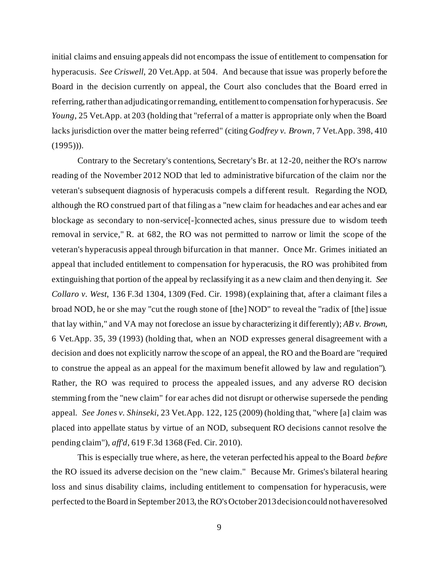initial claims and ensuing appeals did not encompass the issue of entitlement to compensation for hyperacusis. *See Criswell*, 20 Vet.App. at 504. And because that issue was properly before the Board in the decision currently on appeal, the Court also concludes that the Board erred in referring, rather than adjudicating or remanding, entitlement to compensation for hyperacusis. *See Young*, 25 Vet.App. at 203 (holding that "referral of a matter is appropriate only when the Board lacks jurisdiction over the matter being referred" (citing *Godfrey v. Brown*, 7 Vet.App. 398, 410  $(1995)$ ).

Contrary to the Secretary's contentions, Secretary's Br. at 12-20, neither the RO's narrow reading of the November 2012 NOD that led to administrative bifurcation of the claim nor the veteran's subsequent diagnosis of hyperacusis compels a different result. Regarding the NOD, although the RO construed part of that filing as a "new claim for headaches and ear aches and ear blockage as secondary to non-service[-]connected aches, sinus pressure due to wisdom teeth removal in service," R. at 682, the RO was not permitted to narrow or limit the scope of the veteran's hyperacusis appeal through bifurcation in that manner. Once Mr. Grimes initiated an appeal that included entitlement to compensation for hyperacusis, the RO was prohibited from extinguishing that portion of the appeal by reclassifying it as a new claim and then denying it. *See Collaro v. West*, 136 F.3d 1304, 1309 (Fed. Cir. 1998) (explaining that, after a claimant files a broad NOD, he or she may "cut the rough stone of [the] NOD" to reveal the "radix of [the] issue that lay within," and VA may not foreclose an issue by characterizing it differently); *AB v. Brown*, 6 Vet.App. 35, 39 (1993) (holding that, when an NOD expresses general disagreement with a decision and does not explicitly narrow the scope of an appeal, the RO and the Board are "required to construe the appeal as an appeal for the maximum benefit allowed by law and regulation"). Rather, the RO was required to process the appealed issues, and any adverse RO decision stemming from the "new claim" for ear aches did not disrupt or otherwise supersede the pending appeal. *See Jones v. Shinseki*, 23 Vet.App. 122, 125 (2009) (holding that, "where [a] claim was placed into appellate status by virtue of an NOD, subsequent RO decisions cannot resolve the pending claim"), *aff'd*, 619 F.3d 1368 (Fed. Cir. 2010).

This is especially true where, as here, the veteran perfected his appeal to the Board *before*  the RO issued its adverse decision on the "new claim." Because Mr. Grimes's bilateral hearing loss and sinus disability claims, including entitlement to compensation for hyperacusis, were perfected to the Board in September 2013, the RO's October 2013 decision could not have resolved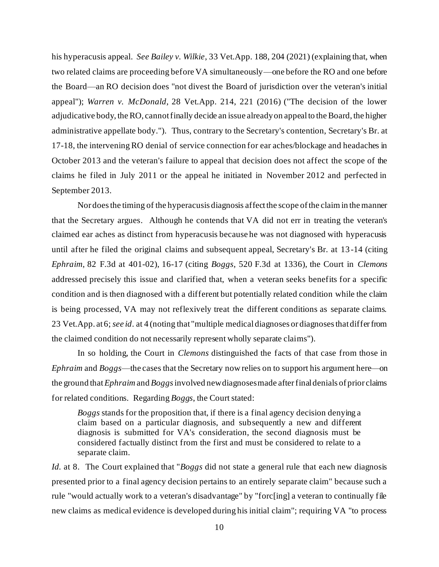his hyperacusis appeal. *See Bailey v. Wilkie*, 33 Vet.App. 188, 204 (2021) (explaining that, when two related claims are proceeding before VA simultaneously—one before the RO and one before the Board—an RO decision does "not divest the Board of jurisdiction over the veteran's initial appeal"); *Warren v. McDonald*, 28 Vet.App. 214, 221 (2016) ("The decision of the lower adjudicative body, the RO, cannot finally decide an issue already on appeal to the Board, the higher administrative appellate body."). Thus, contrary to the Secretary's contention, Secretary's Br. at 17-18, the intervening RO denial of service connection for ear aches/blockage and headaches in October 2013 and the veteran's failure to appeal that decision does not affect the scope of the claims he filed in July 2011 or the appeal he initiated in November 2012 and perfected in September 2013.

Nor does the timing of the hyperacusis diagnosis affect the scope of the claim in the manner that the Secretary argues. Although he contends that VA did not err in treating the veteran's claimed ear aches as distinct from hyperacusis because he was not diagnosed with hyperacusis until after he filed the original claims and subsequent appeal, Secretary's Br. at 13 -14 (citing *Ephraim*, 82 F.3d at 401-02), 16-17 (citing *Boggs*, 520 F.3d at 1336), the Court in *Clemons*  addressed precisely this issue and clarified that, when a veteran seeks benefits for a specific condition and is then diagnosed with a different but potentially related condition while the claim is being processed, VA may not reflexively treat the different conditions as separate claims. 23 Vet.App. at 6; *see id*. at 4 (noting that "multiple medical diagnoses or diagnoses that differ from the claimed condition do not necessarily represent wholly separate claims").

In so holding, the Court in *Clemons* distinguished the facts of that case from those in *Ephraim* and *Boggs*—the cases that the Secretary now relies on to support his argument here—on the ground that *Ephraim* and *Boggs*involved new diagnoses made after final denials of prior claims for related conditions. Regarding *Boggs*, the Court stated:

*Boggs* stands for the proposition that, if there is a final agency decision denying a claim based on a particular diagnosis, and subsequently a new and different diagnosis is submitted for VA's consideration, the second diagnosis must be considered factually distinct from the first and must be considered to relate to a separate claim.

*Id.* at 8. The Court explained that "*Boggs* did not state a general rule that each new diagnosis presented prior to a final agency decision pertains to an entirely separate claim" because such a rule "would actually work to a veteran's disadvantage" by "forc[ing] a veteran to continually file new claims as medical evidence is developed during his initial claim"; requiring VA "to process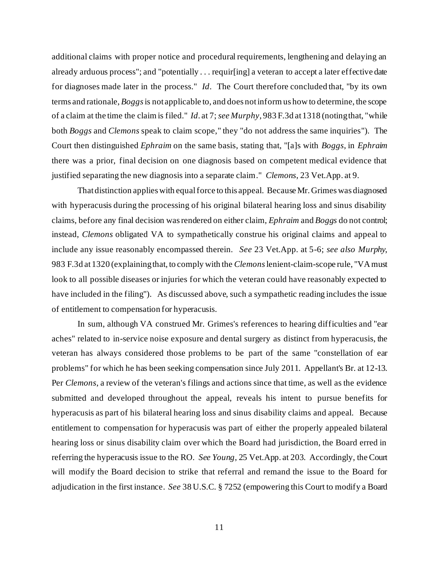additional claims with proper notice and procedural requirements, lengthening and delaying an already arduous process"; and "potentially . . . requir[ing] a veteran to accept a later effective date for diagnoses made later in the process." *Id*. The Court therefore concluded that, "by its own terms and rationale, *Boggs*is not applicable to, and does not inform us how to determine, the scope of a claim at the time the claim is filed." *Id*. at 7; *see Murphy*, 983 F.3d at 1318 (noting that, "while both *Boggs* and *Clemons* speak to claim scope," they "do not address the same inquiries"). The Court then distinguished *Ephraim* on the same basis, stating that, "[a]s with *Boggs*, in *Ephraim* there was a prior, final decision on one diagnosis based on competent medical evidence that justified separating the new diagnosis into a separate claim." *Clemons*, 23 Vet.App. at 9.

That distinction applies with equal force to this appeal. Because Mr. Grimes was diagnosed with hyperacusis during the processing of his original bilateral hearing loss and sinus disability claims, before any final decision was rendered on either claim, *Ephraim* and *Boggs* do not control; instead, *Clemons* obligated VA to sympathetically construe his original claims and appeal to include any issue reasonably encompassed therein. *See* 23 Vet.App. at 5-6; *see also Murphy*, 983 F.3d at 1320 (explaining that, to comply with the *Clemons*lenient-claim-scope rule, "VA must look to all possible diseases or injuries for which the veteran could have reasonably expected to have included in the filing"). As discussed above, such a sympathetic reading includes the issue of entitlement to compensation for hyperacusis.

In sum, although VA construed Mr. Grimes's references to hearing difficulties and "ear aches" related to in-service noise exposure and dental surgery as distinct from hyperacusis, the veteran has always considered those problems to be part of the same "constellation of ear problems" for which he has been seeking compensation since July 2011. Appellant's Br. at 12-13. Per *Clemons*, a review of the veteran's filings and actions since that time, as well as the evidence submitted and developed throughout the appeal, reveals his intent to pursue benefits for hyperacusis as part of his bilateral hearing loss and sinus disability claims and appeal. Because entitlement to compensation for hyperacusis was part of either the properly appealed bilateral hearing loss or sinus disability claim over which the Board had jurisdiction, the Board erred in referring the hyperacusis issue to the RO. *See Young*, 25 Vet.App. at 203. Accordingly, the Court will modify the Board decision to strike that referral and remand the issue to the Board for adjudication in the first instance. *See* 38 U.S.C. § 7252 (empowering this Court to modify a Board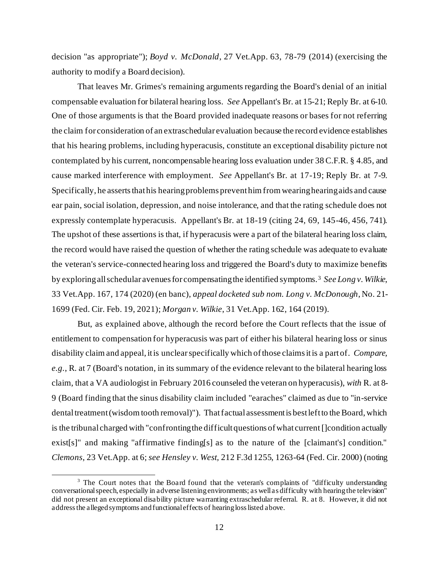decision "as appropriate"); *Boyd v. McDonald*, 27 Vet.App. 63, 78-79 (2014) (exercising the authority to modify a Board decision).

That leaves Mr. Grimes's remaining arguments regarding the Board's denial of an initial compensable evaluation for bilateral hearing loss. *See* Appellant's Br. at 15-21; Reply Br. at 6-10. One of those arguments is that the Board provided inadequate reasons or bases for not referring the claim for consideration of an extraschedular evaluation because the record evidence establishes that his hearing problems, including hyperacusis, constitute an exceptional disability picture not contemplated by his current, noncompensable hearing loss evaluation under 38 C.F.R. § 4.85, and cause marked interference with employment. *See* Appellant's Br. at 17-19; Reply Br. at 7-9. Specifically, he asserts that his hearing problems prevent him from wearing hearing aids and cause ear pain, social isolation, depression, and noise intolerance, and that the rating schedule does not expressly contemplate hyperacusis. Appellant's Br. at 18-19 (citing 24, 69, 145-46, 456, 741). The upshot of these assertions is that, if hyperacusis were a part of the bilateral hearing loss claim, the record would have raised the question of whether the rating schedule was adequate to evaluate the veteran's service-connected hearing loss and triggered the Board's duty to maximize benefits by exploring all schedular avenues for compensating the identified symptoms.<sup>3</sup> See Long v. Wilkie, 33 Vet.App. 167, 174 (2020) (en banc), *appeal docketed sub nom. Long v. McDonough*, No. 21- 1699 (Fed. Cir. Feb. 19, 2021); *Morgan v. Wilkie*, 31 Vet.App. 162, 164 (2019).

But, as explained above, although the record before the Court reflects that the issue of entitlement to compensation for hyperacusis was part of either his bilateral hearing loss or sinus disability claim and appeal, it is unclear specifically which of those claims it is a part of. *Compare, e.g.*, R. at 7 (Board's notation, in its summary of the evidence relevant to the bilateral hearing loss claim, that a VA audiologist in February 2016 counseled the veteran on hyperacusis), *with* R. at 8- 9 (Board finding that the sinus disability claim included "earaches" claimed as due to "in-service dental treatment (wisdom tooth removal)"). That factual assessment is best left to the Board, which is the tribunal charged with "confronting the difficult questions of what current []condition actually exist[s]" and making "affirmative finding[s] as to the nature of the [claimant's] condition." *Clemons*, 23 Vet.App. at 6; *see Hensley v. West,* 212 F.3d 1255, 1263-64 (Fed. Cir. 2000) (noting

 $3$  The Court notes that the Board found that the veteran's complaints of "difficulty understanding" conversational speech, especially in adverse listening environments; as well as difficulty with hearing the television" did not present an exceptional disability picture warranting extraschedular referral. R. at 8. However, it did not address the alleged symptoms and functional effects of hearing loss listed above.